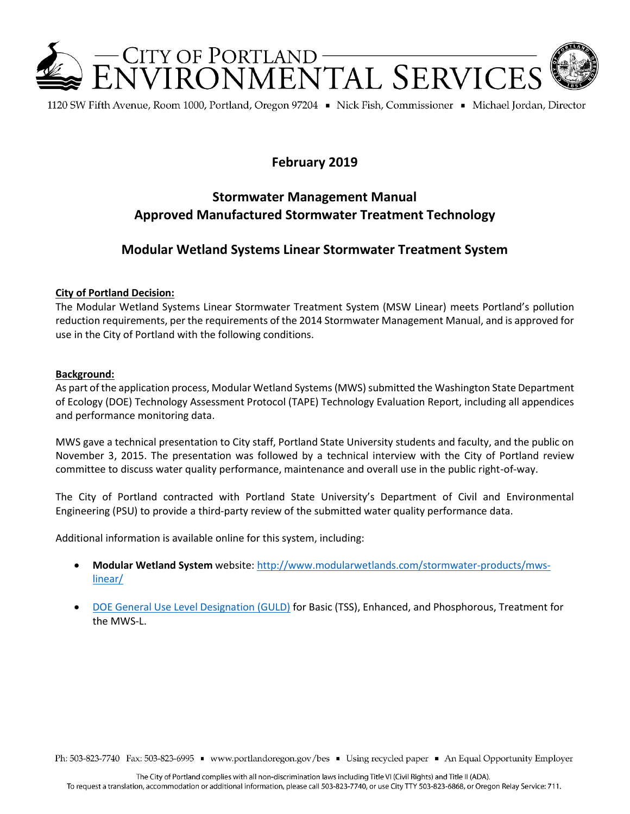

1120 SW Fifth Avenue, Room 1000, Portland, Oregon 97204 • Nick Fish, Commissioner • Michael Jordan, Director

# **February 2019**

# **Stormwater Management Manual Approved Manufactured Stormwater Treatment Technology**

### **Modular Wetland Systems Linear Stormwater Treatment System**

#### **City of Portland Decision:**

The Modular Wetland Systems Linear Stormwater Treatment System (MSW Linear) meets Portland's pollution reduction requirements, per the requirements of the 2014 Stormwater Management Manual, and is approved for use in the City of Portland with the following conditions.

#### **Background:**

As part of the application process, Modular Wetland Systems(MWS) submitted the Washington State Department of Ecology (DOE) Technology Assessment Protocol (TAPE) Technology Evaluation Report, including all appendices and performance monitoring data.

MWS gave a technical presentation to City staff, Portland State University students and faculty, and the public on November 3, 2015. The presentation was followed by a technical interview with the City of Portland review committee to discuss water quality performance, maintenance and overall use in the public right-of-way.

The City of Portland contracted with Portland State University's Department of Civil and Environmental Engineering (PSU) to provide a third-party review of the submitted water quality performance data.

Additional information is available online for this system, including:

- **Modular Wetland System** website[: http://www.modularwetlands.com/stormwater-products/mws](http://www.modularwetlands.com/stormwater-products/mws-linear/)[linear/](http://www.modularwetlands.com/stormwater-products/mws-linear/)
- [DOE General Use Level Designation \(GULD\)](http://www.ecy.wa.gov/programs/wq/stormwater/newtech/technologies.html) for Basic (TSS), Enhanced, and Phosphorous, Treatment for the MWS-L.

Ph: 503-823-7740 Fax: 503-823-6995 · www.portlandoregon.gov/bes · Using recycled paper · An Equal Opportunity Employer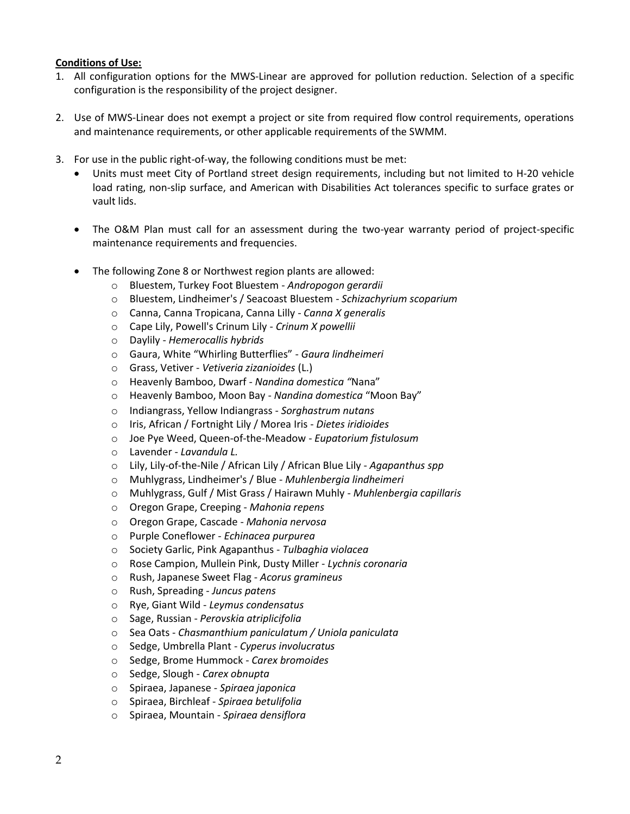#### **Conditions of Use:**

- 1. All configuration options for the MWS-Linear are approved for pollution reduction. Selection of a specific configuration is the responsibility of the project designer.
- 2. Use of MWS-Linear does not exempt a project or site from required flow control requirements, operations and maintenance requirements, or other applicable requirements of the SWMM.
- 3. For use in the public right-of-way, the following conditions must be met:
	- Units must meet City of Portland street design requirements, including but not limited to H-20 vehicle load rating, non-slip surface, and American with Disabilities Act tolerances specific to surface grates or vault lids.
	- The O&M Plan must call for an assessment during the two-year warranty period of project-specific maintenance requirements and frequencies.
	- The following Zone 8 or Northwest region plants are allowed:
		- o Bluestem, Turkey Foot Bluestem *Andropogon gerardii*
		- o Bluestem, Lindheimer's / Seacoast Bluestem *Schizachyrium scoparium*
		- o Canna, Canna Tropicana, Canna Lilly *Canna X generalis*
		- o Cape Lily, Powell's Crinum Lily *Crinum X powellii*
		- o Daylily *Hemerocallis hybrids*
		- o Gaura, White "Whirling Butterflies" *Gaura lindheimeri*
		- o Grass, Vetiver *Vetiveria zizanioides* (L.)
		- o Heavenly Bamboo, Dwarf *Nandina domestica "*Nana"
		- o Heavenly Bamboo, Moon Bay *Nandina domestica* "Moon Bay"
		- o Indiangrass, Yellow Indiangrass *Sorghastrum nutans*
		- o Iris, African / Fortnight Lily / Morea Iris *Dietes iridioides*
		- o Joe Pye Weed, Queen-of-the-Meadow *Eupatorium fistulosum*
		- o Lavender *Lavandula L.*
		- o Lily, Lily-of-the-Nile / African Lily / African Blue Lily *Agapanthus spp*
		- o Muhlygrass, Lindheimer's / Blue *Muhlenbergia lindheimeri*
		- o Muhlygrass, Gulf / Mist Grass / Hairawn Muhly *Muhlenbergia capillaris*
		- o Oregon Grape, Creeping *Mahonia repens*
		- o Oregon Grape, Cascade *Mahonia nervosa*
		- o Purple Coneflower *Echinacea purpurea*
		- o Society Garlic, Pink Agapanthus *Tulbaghia violacea*
		- o Rose Campion, Mullein Pink, Dusty Miller *Lychnis coronaria*
		- o Rush, Japanese Sweet Flag *Acorus gramineus*
		- o Rush, Spreading *Juncus patens*
		- o Rye, Giant Wild *Leymus condensatus*
		- o Sage, Russian *Perovskia atriplicifolia*
		- o Sea Oats *Chasmanthium paniculatum / Uniola paniculata*
		- o Sedge, Umbrella Plant *Cyperus involucratus*
		- o Sedge, Brome Hummock *Carex bromoides*
		- o Sedge, Slough *Carex obnupta*
		- o Spiraea, Japanese *Spiraea japonica*
		- o Spiraea, Birchleaf *Spiraea betulifolia*
		- o Spiraea, Mountain *Spiraea densiflora*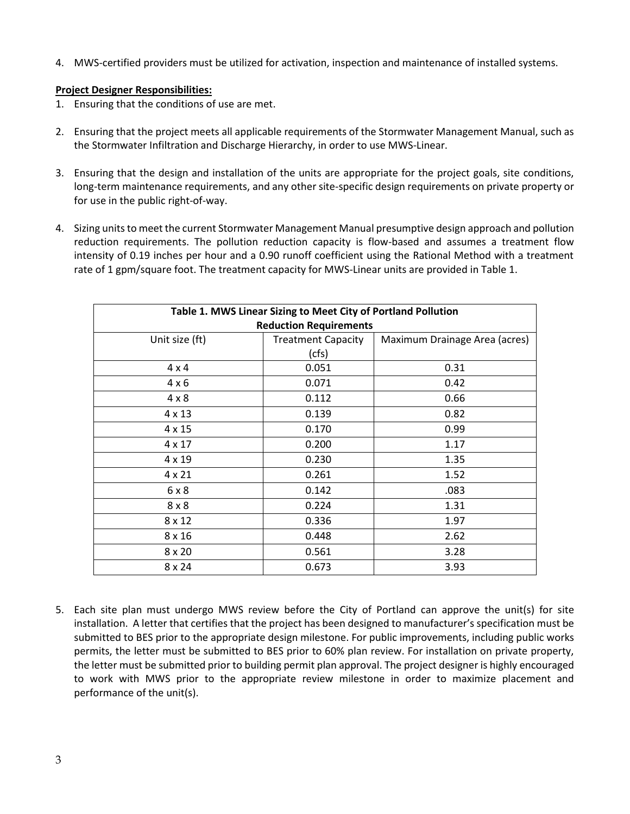4. MWS-certified providers must be utilized for activation, inspection and maintenance of installed systems.

### **Project Designer Responsibilities:**

- 1. Ensuring that the conditions of use are met.
- 2. Ensuring that the project meets all applicable requirements of the Stormwater Management Manual, such as the Stormwater Infiltration and Discharge Hierarchy, in order to use MWS-Linear.
- 3. Ensuring that the design and installation of the units are appropriate for the project goals, site conditions, long-term maintenance requirements, and any other site-specific design requirements on private property or for use in the public right-of-way.
- 4. Sizing units to meet the current Stormwater Management Manual presumptive design approach and pollution reduction requirements. The pollution reduction capacity is flow-based and assumes a treatment flow intensity of 0.19 inches per hour and a 0.90 runoff coefficient using the Rational Method with a treatment rate of 1 gpm/square foot. The treatment capacity for MWS-Linear units are provided in Table 1.

| Table 1. MWS Linear Sizing to Meet City of Portland Pollution |                           |                               |
|---------------------------------------------------------------|---------------------------|-------------------------------|
| <b>Reduction Requirements</b>                                 |                           |                               |
| Unit size (ft)                                                | <b>Treatment Capacity</b> | Maximum Drainage Area (acres) |
|                                                               | (cfs)                     |                               |
| $4 \times 4$                                                  | 0.051                     | 0.31                          |
| $4 \times 6$                                                  | 0.071                     | 0.42                          |
| $4 \times 8$                                                  | 0.112                     | 0.66                          |
| 4 x 13                                                        | 0.139                     | 0.82                          |
| $4 \times 15$                                                 | 0.170                     | 0.99                          |
| $4 \times 17$                                                 | 0.200                     | 1.17                          |
| 4 x 19                                                        | 0.230                     | 1.35                          |
| $4 \times 21$                                                 | 0.261                     | 1.52                          |
| 6x8                                                           | 0.142                     | .083                          |
| $8 \times 8$                                                  | 0.224                     | 1.31                          |
| $8 \times 12$                                                 | 0.336                     | 1.97                          |
| $8 \times 16$                                                 | 0.448                     | 2.62                          |
| $8 \times 20$                                                 | 0.561                     | 3.28                          |
| $8 \times 24$                                                 | 0.673                     | 3.93                          |

5. Each site plan must undergo MWS review before the City of Portland can approve the unit(s) for site installation. A letter that certifies that the project has been designed to manufacturer's specification must be submitted to BES prior to the appropriate design milestone. For public improvements, including public works permits, the letter must be submitted to BES prior to 60% plan review. For installation on private property, the letter must be submitted prior to building permit plan approval. The project designer is highly encouraged to work with MWS prior to the appropriate review milestone in order to maximize placement and performance of the unit(s).